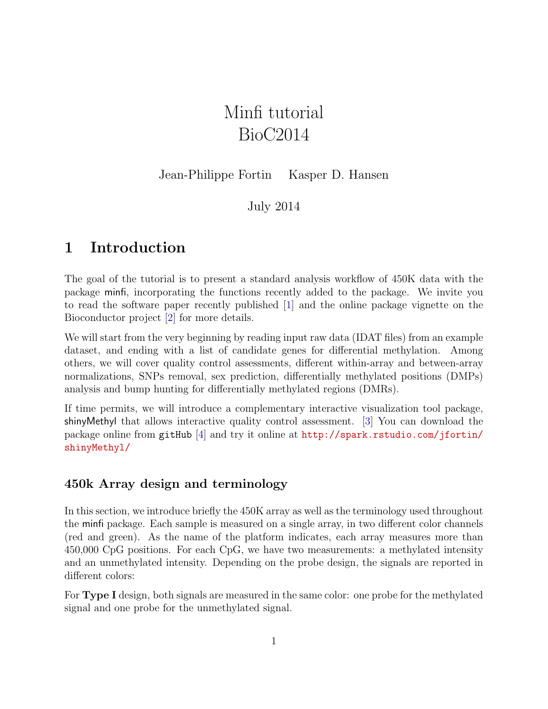# Minfi tutorial BioC2014

### Jean-Philippe Fortin Kasper D. Hansen

### July 2014

# 1 Introduction

The goal of the tutorial is to present a standard analysis workflow of 450K data with the package minfi, incorporating the functions recently added to the package. We invite you to read the software paper recently published [\[1\]](#page-23-0) and the online package vignette on the Bioconductor project [\[2\]](#page-24-0) for more details.

We will start from the very beginning by reading input raw data (IDAT files) from an example dataset, and ending with a list of candidate genes for differential methylation. Among others, we will cover quality control assessments, different within-array and between-array normalizations, SNPs removal, sex prediction, differentially methylated positions (DMPs) analysis and bump hunting for differentially methylated regions (DMRs).

If time permits, we will introduce a complementary interactive visualization tool package, shinyMethyl that allows interactive quality control assessment. [\[3\]](#page-24-1) You can download the package online from gitHub [\[4\]](#page-24-2) and try it online at [http://spark.rstudio.com/jfortin/](http://spark.rstudio.com/jfortin/shinyMethyl/) [shinyMethyl/](http://spark.rstudio.com/jfortin/shinyMethyl/)

### 450k Array design and terminology

In this section, we introduce briefly the 450K array as well as the terminology used throughout the minfi package. Each sample is measured on a single array, in two different color channels (red and green). As the name of the platform indicates, each array measures more than 450,000 CpG positions. For each CpG, we have two measurements: a methylated intensity and an unmethylated intensity. Depending on the probe design, the signals are reported in different colors:

For Type I design, both signals are measured in the same color: one probe for the methylated signal and one probe for the unmethylated signal.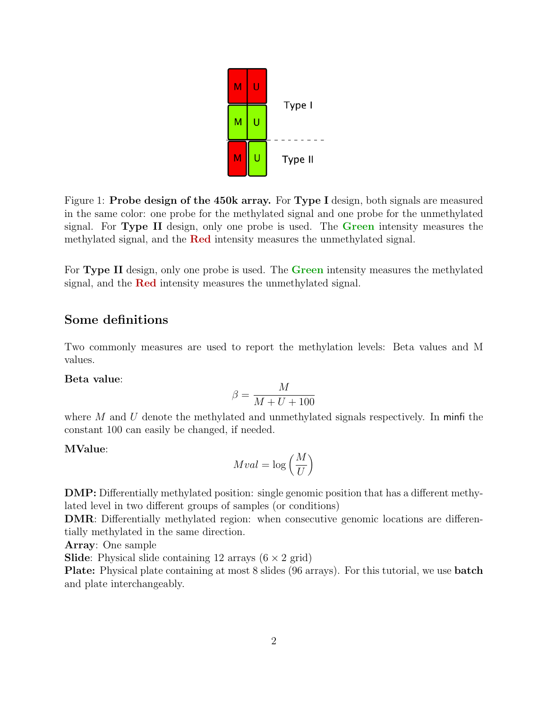

Figure 1: Probe design of the 450k array. For Type I design, both signals are measured in the same color: one probe for the methylated signal and one probe for the unmethylated signal. For Type II design, only one probe is used. The Green intensity measures the methylated signal, and the Red intensity measures the unmethylated signal.

For Type II design, only one probe is used. The Green intensity measures the methylated signal, and the Red intensity measures the unmethylated signal.

### Some definitions

Two commonly measures are used to report the methylation levels: Beta values and M values.

#### Beta value:

$$
\beta = \frac{M}{M + U + 100}
$$

where  $M$  and  $U$  denote the methylated and unmethylated signals respectively. In minfi the constant 100 can easily be changed, if needed.

#### MValue:

$$
Mval = \log\left(\frac{M}{U}\right)
$$

DMP: Differentially methylated position: single genomic position that has a different methylated level in two different groups of samples (or conditions)

DMR: Differentially methylated region: when consecutive genomic locations are differentially methylated in the same direction.

Array: One sample

**Slide:** Physical slide containing 12 arrays  $(6 \times 2 \text{ grid})$ 

Plate: Physical plate containing at most 8 slides (96 arrays). For this tutorial, we use **batch** and plate interchangeably.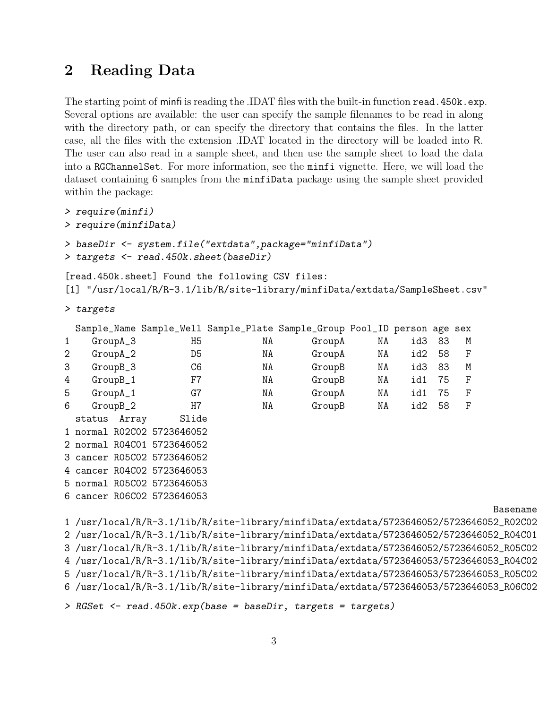### 2 Reading Data

The starting point of minfi is reading the .IDAT files with the built-in function read.450k.exp. Several options are available: the user can specify the sample filenames to be read in along with the directory path, or can specify the directory that contains the files. In the latter case, all the files with the extension .IDAT located in the directory will be loaded into R. The user can also read in a sample sheet, and then use the sample sheet to load the data into a RGChannelSet. For more information, see the minfi vignette. Here, we will load the dataset containing 6 samples from the minfiData package using the sample sheet provided within the package:

```
> require(minfi)
```

```
> require(minfiData)
```

```
> baseDir <- system.file("extdata",package="minfiData")
```

```
> targets <- read.450k.sheet(baseDir)
```
[read.450k.sheet] Found the following CSV files: [1] "/usr/local/R/R-3.1/lib/R/site-library/minfiData/extdata/SampleSheet.csv"

#### > targets

|   |            |          |                            |    | Sample_Name Sample_Well Sample_Plate Sample_Group Pool_ID person age sex |    |     |    |   |
|---|------------|----------|----------------------------|----|--------------------------------------------------------------------------|----|-----|----|---|
| 1 |            | GroupA_3 | H5                         | NA | GroupA                                                                   | ΝA | id3 | 83 | M |
| 2 |            | GroupA_2 | D5                         | NA | GroupA                                                                   | NA | id2 | 58 | F |
| 3 |            | GroupB_3 | C6                         | NA | GroupB                                                                   | ΝA | id3 | 83 | M |
| 4 |            | GroupB_1 | F7                         | ΝA | GroupB                                                                   | ΝA | id1 | 75 | F |
| 5 | GroupA_1   |          | G7                         | ΝA | GroupA                                                                   | ΝA | id1 | 75 | F |
| 6 | $GroupB_2$ |          | H7                         | ΝA | GroupB                                                                   | ΝA | id2 | 58 | F |
|   | status     | Array    | Slide                      |    |                                                                          |    |     |    |   |
|   |            |          | 1 normal R02C02 5723646052 |    |                                                                          |    |     |    |   |
|   |            |          | 2 normal R04C01 5723646052 |    |                                                                          |    |     |    |   |
|   |            |          | 3 cancer R05C02 5723646052 |    |                                                                          |    |     |    |   |

4 cancer R04C02 5723646053

```
5 normal R05C02 5723646053
```

```
6 cancer R06C02 5723646053
```
#### Basename

1 /usr/local/R/R-3.1/lib/R/site-library/minfiData/extdata/5723646052/5723646052\_R02C02 2 /usr/local/R/R-3.1/lib/R/site-library/minfiData/extdata/5723646052/5723646052\_R04C01 3 /usr/local/R/R-3.1/lib/R/site-library/minfiData/extdata/5723646052/5723646052\_R05C02 4 /usr/local/R/R-3.1/lib/R/site-library/minfiData/extdata/5723646053/5723646053\_R04C02 5 /usr/local/R/R-3.1/lib/R/site-library/minfiData/extdata/5723646053/5723646053\_R05C02 6 /usr/local/R/R-3.1/lib/R/site-library/minfiData/extdata/5723646053/5723646053\_R06C02

```
> RGSet <- read.450k.exp(base = baseDir, targets = targets)
```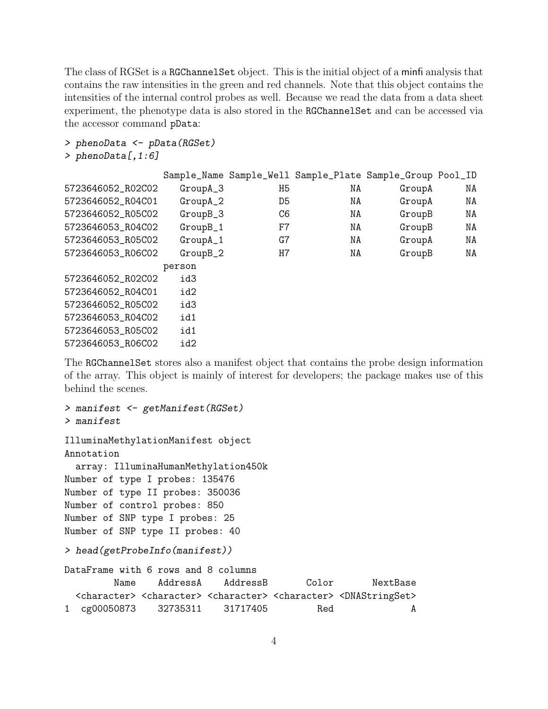The class of RGSet is a RGChannelSet object. This is the initial object of a minfi analysis that contains the raw intensities in the green and red channels. Note that this object contains the intensities of the internal control probes as well. Because we read the data from a data sheet experiment, the phenotype data is also stored in the RGChannelSet and can be accessed via the accessor command pData:

```
> phenoData <- pData(RGSet)
```

```
> phenoData[,1:6]
```

|                   |          |    | Sample_Name Sample_Well Sample_Plate Sample_Group Pool_ID |        |    |
|-------------------|----------|----|-----------------------------------------------------------|--------|----|
| 5723646052_R02C02 | GroupA_3 | H5 | NA                                                        | GroupA | NA |
| 5723646052_R04C01 | GroupA_2 | D5 | NA                                                        | GroupA | NA |
| 5723646052_R05C02 | GroupB_3 | C6 | NA                                                        | GroupB | NA |
| 5723646053_R04C02 | GroupB_1 | F7 | NA                                                        | GroupB | NA |
| 5723646053_R05C02 | GroupA_1 | G7 | NA                                                        | GroupA | NA |
| 5723646053_R06C02 | GroupB_2 | H7 | NA                                                        | GroupB | NA |
|                   | person   |    |                                                           |        |    |
| 5723646052_R02C02 | id3      |    |                                                           |        |    |
| 5723646052_R04C01 | id2      |    |                                                           |        |    |
| 5723646052_R05C02 | id3      |    |                                                           |        |    |
| 5723646053_R04C02 | id1      |    |                                                           |        |    |
| 5723646053_R05C02 | id1      |    |                                                           |        |    |
| 5723646053_R06C02 | id2      |    |                                                           |        |    |

The RGChannelSet stores also a manifest object that contains the probe design information of the array. This object is mainly of interest for developers; the package makes use of this behind the scenes.

```
> manifest <- getManifest(RGSet)
> manifest
IlluminaMethylationManifest object
Annotation
 array: IlluminaHumanMethylation450k
Number of type I probes: 135476
Number of type II probes: 350036
Number of control probes: 850
Number of SNP type I probes: 25
Number of SNP type II probes: 40
> head(getProbeInfo(manifest))
DataFrame with 6 rows and 8 columns
        Name AddressA AddressB Color NextBase
 <character> <character> <character> <character> <DNAStringSet>
1 cg00050873 32735311 31717405 Red A
```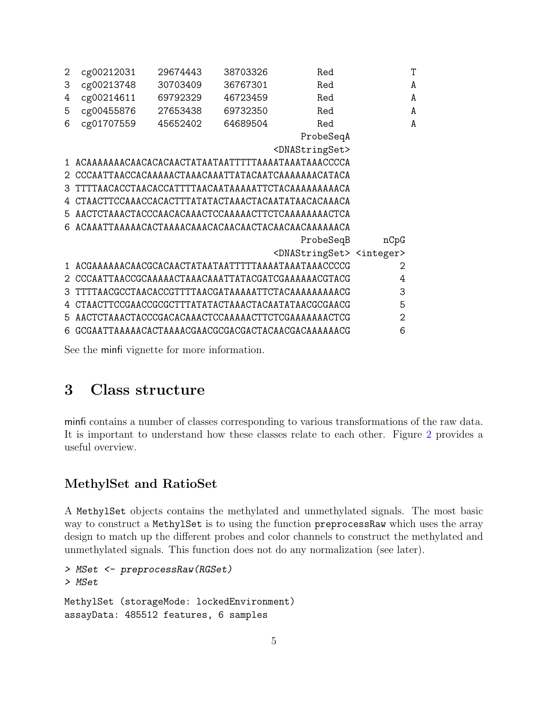| 2  | cg00212031 | 29674443 | 38703326                                           | R.ed                                              |                   | T |
|----|------------|----------|----------------------------------------------------|---------------------------------------------------|-------------------|---|
| 3  | cg00213748 | 30703409 | 36767301                                           | Red                                               |                   | А |
| 4  | cg00214611 | 69792329 | 46723459                                           | Red                                               |                   | A |
| 5  | cg00455876 | 27653438 | 69732350                                           | Red                                               |                   | A |
| 6  | cg01707559 | 45652402 | 64689504                                           | Red                                               |                   | A |
|    |            |          |                                                    | ProbeSeqA                                         |                   |   |
|    |            |          |                                                    | <dnastringset></dnastringset>                     |                   |   |
|    |            |          | ACAAAAAAACAACACACAACTATAATAATTTTTAAAATAAATAAACCCCA |                                                   |                   |   |
| 2. |            |          |                                                    |                                                   |                   |   |
| 3. |            |          |                                                    |                                                   |                   |   |
|    |            |          | CTAACTTCCAAACCACACTTTATATACTAAACTACAATATAACACAAACA |                                                   |                   |   |
| 5. |            |          |                                                    |                                                   |                   |   |
| 6  |            |          |                                                    |                                                   |                   |   |
|    |            |          |                                                    | ProbeSeqB                                         | nCpG              |   |
|    |            |          |                                                    | <dnastringset> <integer></integer></dnastringset> |                   |   |
|    |            |          |                                                    |                                                   | $\mathcal{D}_{1}$ |   |
|    |            |          | CCCAATTAACCGCAAAAACTAAACAAATTATACGATCGAAAAAACGTACG |                                                   | 4                 |   |
| 3  |            |          |                                                    |                                                   | 3                 |   |
|    |            |          | CTAACTTCCGAACCGCGCTTTATATACTAAACTACAATATAACGCGAACG |                                                   | 5                 |   |
| 5  |            |          | AACTCTAAACTACCCGACACAAACTCCAAAAACTTCTCGAAAAAAACTCG |                                                   | $\overline{2}$    |   |
| 6  |            |          | GCGAATTAAAAACACTAAAACGAACGCGACGACTACAACGACAAAAAACG |                                                   | 6                 |   |
|    |            |          |                                                    |                                                   |                   |   |

See the minfi vignette for more information.

# 3 Class structure

minfi contains a number of classes corresponding to various transformations of the raw data. It is important to understand how these classes relate to each other. Figure [2](#page-5-0) provides a useful overview.

### MethylSet and RatioSet

A MethylSet objects contains the methylated and unmethylated signals. The most basic way to construct a MethylSet is to using the function preprocessRaw which uses the array design to match up the different probes and color channels to construct the methylated and unmethylated signals. This function does not do any normalization (see later).

> MSet <- preprocessRaw(RGSet) > MSet

```
MethylSet (storageMode: lockedEnvironment)
assayData: 485512 features, 6 samples
```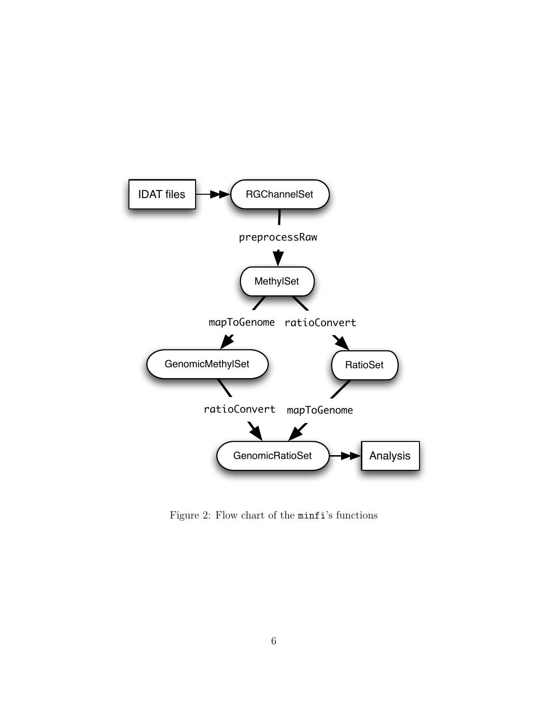

<span id="page-5-0"></span>Figure 2: Flow chart of the minfi's functions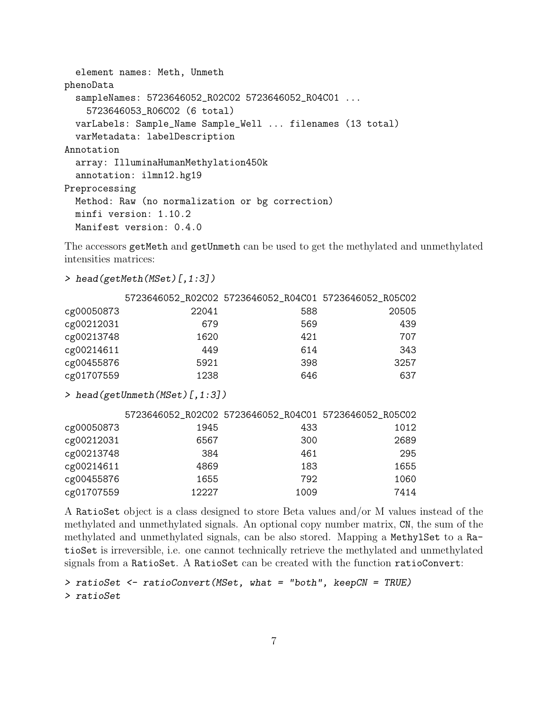```
element names: Meth, Unmeth
phenoData
 sampleNames: 5723646052_R02C02 5723646052_R04C01 ...
    5723646053_R06C02 (6 total)
 varLabels: Sample_Name Sample_Well ... filenames (13 total)
 varMetadata: labelDescription
Annotation
 array: IlluminaHumanMethylation450k
 annotation: ilmn12.hg19
Preprocessing
 Method: Raw (no normalization or bg correction)
 minfi version: 1.10.2
 Manifest version: 0.4.0
```
The accessors getMeth and getUnmeth can be used to get the methylated and unmethylated intensities matrices:

> head(getMeth(MSet)[,1:3])

|            |       | 5723646052_R02C02 5723646052_R04C01 5723646052_R05C02 |       |
|------------|-------|-------------------------------------------------------|-------|
| cg00050873 | 22041 | 588                                                   | 20505 |
| cg00212031 | 679   | 569                                                   | 439   |
| cg00213748 | 1620  | 421                                                   | 707   |
| cg00214611 | 449   | 614                                                   | 343   |
| cg00455876 | 5921  | 398                                                   | 3257  |
| cg01707559 | 1238  | 646                                                   | 637   |

```
> head(getUnmeth(MSet)[,1:3])
```

|            |       |      | 5723646052_R02C02 5723646052_R04C01 5723646052_R05C02 |
|------------|-------|------|-------------------------------------------------------|
| cg00050873 | 1945  | 433  | 1012                                                  |
| cg00212031 | 6567  | 300  | 2689                                                  |
| cg00213748 | 384   | 461  | 295                                                   |
| cg00214611 | 4869  | 183  | 1655                                                  |
| cg00455876 | 1655  | 792  | 1060                                                  |
| cg01707559 | 12227 | 1009 | 7414                                                  |

A RatioSet object is a class designed to store Beta values and/or M values instead of the methylated and unmethylated signals. An optional copy number matrix, CN, the sum of the methylated and unmethylated signals, can be also stored. Mapping a MethylSet to a RatioSet is irreversible, i.e. one cannot technically retrieve the methylated and unmethylated signals from a RatioSet. A RatioSet can be created with the function ratioConvert:

```
> ratioSet <- ratioConvert(MSet, what = "both", keepCN = TRUE)
> ratioSet
```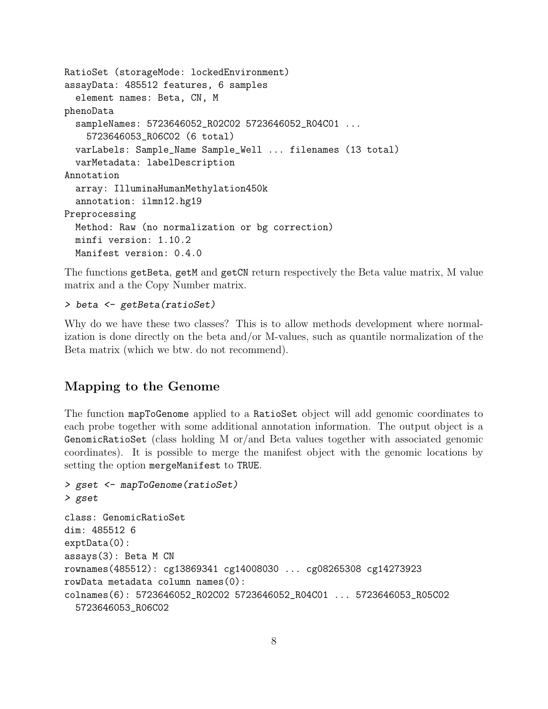```
RatioSet (storageMode: lockedEnvironment)
assayData: 485512 features, 6 samples
 element names: Beta, CN, M
phenoData
 sampleNames: 5723646052_R02C02 5723646052_R04C01 ...
    5723646053_R06C02 (6 total)
 varLabels: Sample_Name Sample_Well ... filenames (13 total)
 varMetadata: labelDescription
Annotation
 array: IlluminaHumanMethylation450k
 annotation: ilmn12.hg19
Preprocessing
 Method: Raw (no normalization or bg correction)
 minfi version: 1.10.2
 Manifest version: 0.4.0
```
The functions getBeta, getM and getCN return respectively the Beta value matrix, M value matrix and a the Copy Number matrix.

```
> beta <- getBeta(ratioSet)
```
Why do we have these two classes? This is to allow methods development where normalization is done directly on the beta and/or M-values, such as quantile normalization of the Beta matrix (which we btw. do not recommend).

### Mapping to the Genome

The function mapToGenome applied to a RatioSet object will add genomic coordinates to each probe together with some additional annotation information. The output object is a GenomicRatioSet (class holding M or/and Beta values together with associated genomic coordinates). It is possible to merge the manifest object with the genomic locations by setting the option mergeManifest to TRUE.

```
> gset <- mapToGenome(ratioSet)
> gset
class: GenomicRatioSet
dim: 485512 6
exptData(0):
assays(3): Beta M CN
rownames(485512): cg13869341 cg14008030 ... cg08265308 cg14273923
rowData metadata column names(0):
colnames(6): 5723646052_R02C02 5723646052_R04C01 ... 5723646053_R05C02
 5723646053_R06C02
```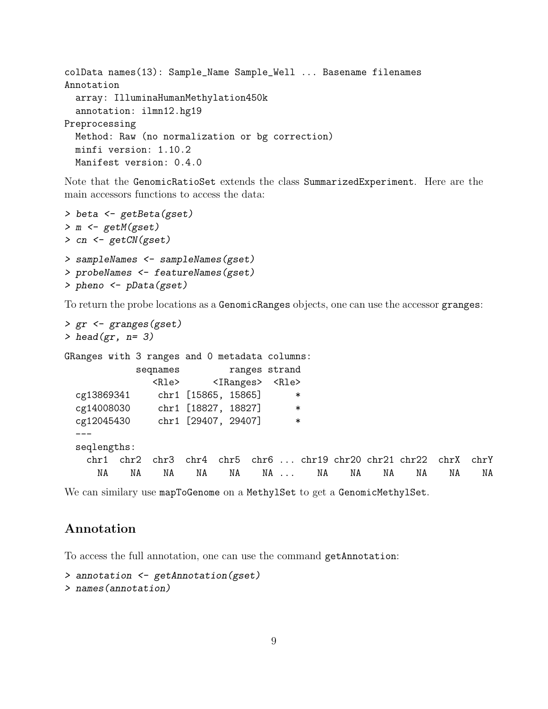```
colData names(13): Sample_Name Sample_Well ... Basename filenames
Annotation
 array: IlluminaHumanMethylation450k
 annotation: ilmn12.hg19
Preprocessing
 Method: Raw (no normalization or bg correction)
 minfi version: 1.10.2
 Manifest version: 0.4.0
```
Note that the GenomicRatioSet extends the class SummarizedExperiment. Here are the main accessors functions to access the data:

```
> beta <- getBeta(gset)
> m <- getM(gset)
> cn <- getCN(gset)
> sampleNames <- sampleNames(gset)
> probeNames <- featureNames(gset)
> pheno <- pData(gset)
```
To return the probe locations as a GenomicRanges objects, one can use the accessor granges:

```
> gr <- granges(gset)
> head(gr, n= 3)
GRanges with 3 ranges and 0 metadata columns:
          seqnames ranges strand
             <Rle> <IRanges> <Rle>
 cg13869341 chr1 [15865, 15865] *
 cg14008030 chr1 [18827, 18827] *
 cg12045430 chr1 [29407, 29407] *
 ---seqlengths:
   chr1 chr2 chr3 chr4 chr5 chr6 ... chr19 chr20 chr21 chr22 chrX chrY
     NA NA NA NA NA NA ... NA NA NA NA NA NA
```
We can similary use mapToGenome on a MethylSet to get a GenomicMethylSet.

### Annotation

To access the full annotation, one can use the command getAnnotation:

```
> annotation <- getAnnotation(gset)
```

```
> names(annotation)
```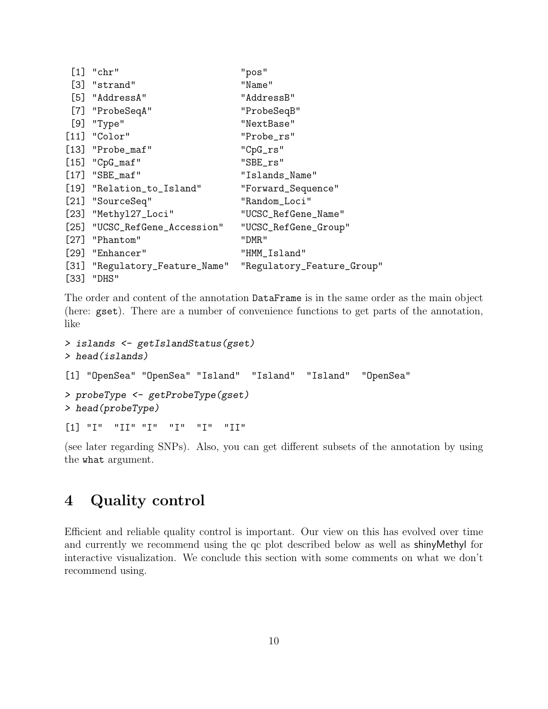| $[1]$ "chr"                   | "pos"                                                     |
|-------------------------------|-----------------------------------------------------------|
| $[3]$ "strand"                | "Name"                                                    |
| [5] "AddressA"                | "AddressB"                                                |
| [7] "ProbeSeqA"               | "ProbeSeqB"                                               |
| [9] "Type"                    | "NextBase"                                                |
| $[11]$ "Color"                | "Probe_rs"                                                |
| $[13]$ "Probe_maf"            | "CpG_rs"                                                  |
| $[15]$ "CpG_maf"              | "SBE_rs"                                                  |
| $[17]$ "SBE_maf"              | "Islands_Name"                                            |
| [19] "Relation_to_Island"     | "Forward_Sequence"                                        |
| [21] "SourceSeq"              | "Random_Loci"                                             |
| [23] "Methyl27_Loci"          | "UCSC_RefGene_Name"                                       |
| [25] "UCSC_RefGene_Accession" | "UCSC_RefGene_Group"                                      |
| $[27]$ "Phantom"              | "DMR"                                                     |
| [29] "Enhancer"               | "HMM_Island"                                              |
|                               | [31] "Regulatory_Feature_Name" "Regulatory_Feature_Group" |
| [33] "DHS"                    |                                                           |
|                               |                                                           |

The order and content of the annotation DataFrame is in the same order as the main object (here: gset). There are a number of convenience functions to get parts of the annotation, like

```
> islands <- getIslandStatus(gset)
> head(islands)
[1] "OpenSea" "OpenSea" "Island" "Island" "Island" "OpenSea"
> probeType <- getProbeType(gset)
> head(probeType)
[1] "I" "II" "I" "I" "I" "II"
```
(see later regarding SNPs). Also, you can get different subsets of the annotation by using the what argument.

## 4 Quality control

Efficient and reliable quality control is important. Our view on this has evolved over time and currently we recommend using the qc plot described below as well as shinyMethyl for interactive visualization. We conclude this section with some comments on what we don't recommend using.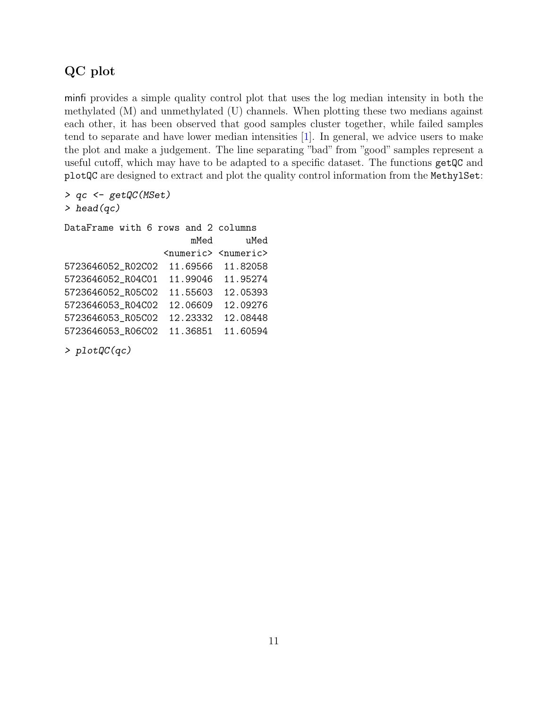## QC plot

minfi provides a simple quality control plot that uses the log median intensity in both the methylated (M) and unmethylated (U) channels. When plotting these two medians against each other, it has been observed that good samples cluster together, while failed samples tend to separate and have lower median intensities [\[1\]](#page-23-0). In general, we advice users to make the plot and make a judgement. The line separating "bad" from "good" samples represent a useful cutoff, which may have to be adapted to a specific dataset. The functions  $getQC$  and plotQC are designed to extract and plot the quality control information from the MethylSet:

```
> qc <- getQC(MSet)
> head(qc)
DataFrame with 6 rows and 2 columns
                      mMed uMed
                 <numeric> <numeric>
5723646052_R02C02 11.69566 11.82058
5723646052_R04C01 11.99046 11.95274
5723646052_R05C02 11.55603 12.05393
5723646053_R04C02 12.06609 12.09276
5723646053_R05C02 12.23332 12.08448
5723646053_R06C02 11.36851 11.60594
> plotQC(qc)
```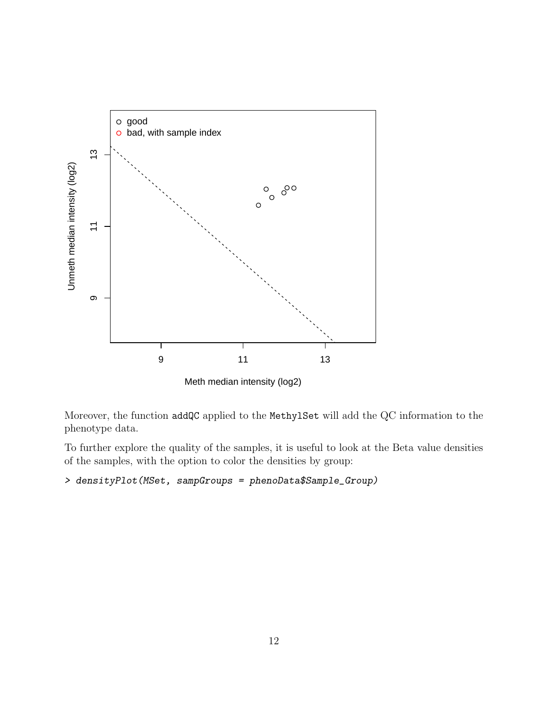![](_page_11_Figure_0.jpeg)

Moreover, the function addQC applied to the MethylSet will add the QC information to the phenotype data.

To further explore the quality of the samples, it is useful to look at the Beta value densities of the samples, with the option to color the densities by group:

> densityPlot(MSet, sampGroups = phenoData\$Sample\_Group)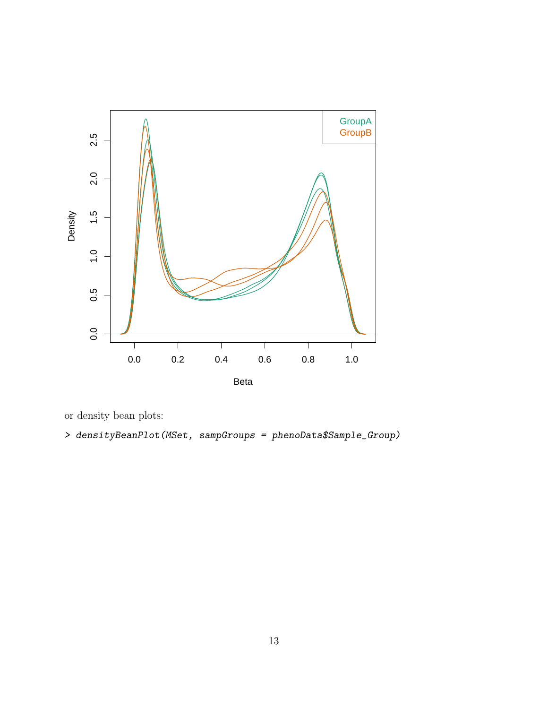![](_page_12_Figure_0.jpeg)

or density bean plots:

> densityBeanPlot(MSet, sampGroups = phenoData\$Sample\_Group)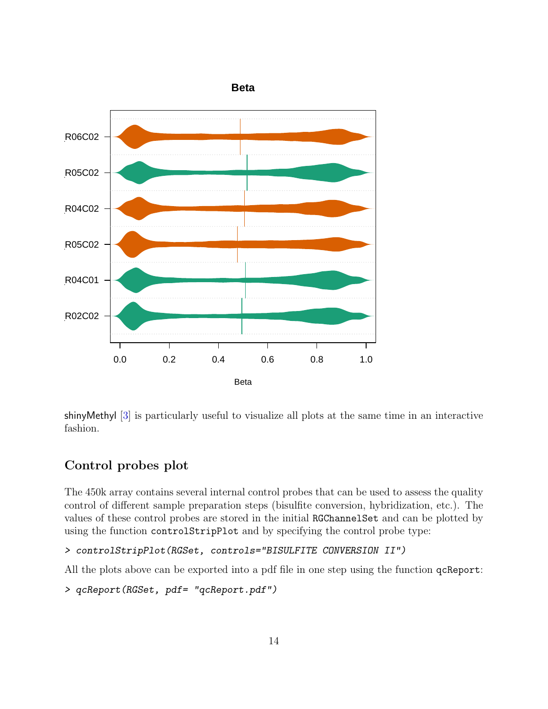![](_page_13_Figure_0.jpeg)

shinyMethyl [\[3\]](#page-24-1) is particularly useful to visualize all plots at the same time in an interactive fashion.

### Control probes plot

The 450k array contains several internal control probes that can be used to assess the quality control of different sample preparation steps (bisulfite conversion, hybridization, etc.). The values of these control probes are stored in the initial RGChannelSet and can be plotted by using the function controlStripPlot and by specifying the control probe type:

```
> controlStripPlot(RGSet, controls="BISULFITE CONVERSION II")
```
All the plots above can be exported into a pdf file in one step using the function qcReport:

```
> qcReport(RGSet, pdf= "qcReport.pdf")
```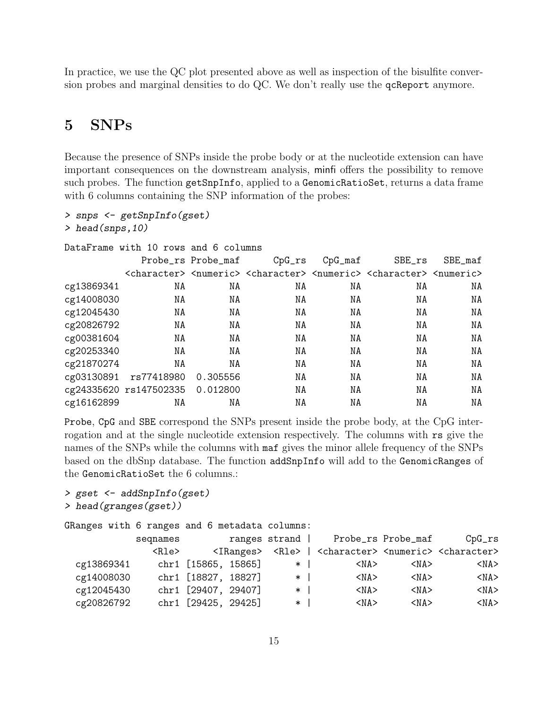In practice, we use the QC plot presented above as well as inspection of the bisulfite conversion probes and marginal densities to do QC. We don't really use the qcReport anymore.

### 5 SNPs

Because the presence of SNPs inside the probe body or at the nucleotide extension can have important consequences on the downstream analysis, minfi offers the possibility to remove such probes. The function getSnpInfo, applied to a GenomicRatioSet, returns a data frame with 6 columns containing the SNP information of the probes:

```
> snps <- getSnpInfo(gset)
> head(snps,10)
```

|            | DataFrame with 10 rows and 6 columns |                    |                                                                                                                                     |           |           |         |
|------------|--------------------------------------|--------------------|-------------------------------------------------------------------------------------------------------------------------------------|-----------|-----------|---------|
|            |                                      | Probe_rs Probe_maf | $CpG_r$ rs                                                                                                                          | $CpG_maf$ | $SBE_r s$ | SBE_maf |
|            |                                      |                    | <character> <numeric> <character> <numeric> <character> <numeric></numeric></character></numeric></character></numeric></character> |           |           |         |
| cg13869341 | NA                                   | NA                 | NA                                                                                                                                  | NA        | NA        | NA      |
| cg14008030 | NA                                   | ΝA                 | ΝA                                                                                                                                  | NA        | NA        | NA      |
| cg12045430 | NA                                   | ΝA                 | ΝA                                                                                                                                  | NA        | NA        | ΝA      |
| cg20826792 | NA                                   | NA                 | NA                                                                                                                                  | NA        | NA        | ΝA      |
| cg00381604 | NA                                   | NA                 | ΝA                                                                                                                                  | NA        | NA        | ΝA      |
| cg20253340 | NA                                   | NA                 | ΝA                                                                                                                                  | NA        | NA        | ΝA      |
| cg21870274 | NA                                   | NA                 | ΝA                                                                                                                                  | NA        | NA        | ΝA      |
|            | cg03130891 rs77418980                | 0.305556           | NA                                                                                                                                  | NA        | ΝA        | ΝA      |
|            | cg24335620 rs147502335 0.012800      |                    | NA                                                                                                                                  | NA        | NA        | ΝA      |
| cg16162899 | NA                                   | NA                 | ΝA                                                                                                                                  | NA        | ΝA        | ΝA      |

Probe, CpG and SBE correspond the SNPs present inside the probe body, at the CpG interrogation and at the single nucleotide extension respectively. The columns with rs give the names of the SNPs while the columns with maf gives the minor allele frequency of the SNPs based on the dbSnp database. The function addSnpInfo will add to the GenomicRanges of the GenomicRatioSet the 6 columns.:

```
> gset <- addSnpInfo(gset)
> head(granges(gset))
```
GRanges with 6 ranges and 6 metadata columns:

|            | segnames |                     |  |        | ranges strand   Probe_rs Probe_maf                                                |            | $CpG_r$ rs |
|------------|----------|---------------------|--|--------|-----------------------------------------------------------------------------------|------------|------------|
|            | $R1e$    | <iranges></iranges> |  |        | <rle>   <character> <numeric> <character></character></numeric></character></rle> |            |            |
| cg13869341 |          | chr1 [15865, 15865] |  | $*$    | $<$ NA $>$                                                                        | $<$ NA $>$ | $<$ NA $>$ |
| cg14008030 |          | chr1 [18827, 18827] |  | $*$    | $<$ NA $>$                                                                        | $<$ NA $>$ | $<$ NA $>$ |
| cg12045430 |          | chr1 [29407, 29407] |  | $*$    | $<$ NA $>$                                                                        | $<$ NA $>$ | $<$ NA $>$ |
| cg20826792 |          | chr1 [29425, 29425] |  | $\ast$ | $<$ NA $>$                                                                        | $<$ NA $>$ | $<$ NA $>$ |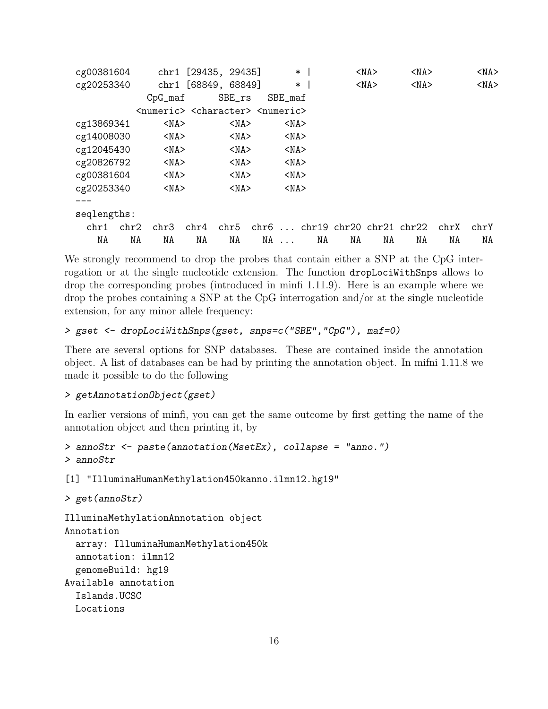| cg00381604  |      |            | chr1 [29435, 29435]                                             |            |             | $\ast$ |    | $<$ NA $>$ | $<$ NA $>$                                           |    | $<$ NA $>$ |
|-------------|------|------------|-----------------------------------------------------------------|------------|-------------|--------|----|------------|------------------------------------------------------|----|------------|
| cg20253340  |      |            | chr1 [68849, 68849]                                             |            |             | $\ast$ |    | $<$ NA $>$ | $<$ NA $>$                                           |    | $<$ NA $>$ |
|             |      | $CpG_maf$  |                                                                 | SBE_rs     | $SBE\_maf$  |        |    |            |                                                      |    |            |
|             |      |            | <numeric> <character> <numeric></numeric></character></numeric> |            |             |        |    |            |                                                      |    |            |
| cg13869341  |      | $<$ NA $>$ |                                                                 | $<$ NA $>$ | $<$ NA $>$  |        |    |            |                                                      |    |            |
| cg14008030  |      | $<$ NA $>$ |                                                                 | $<$ NA $>$ | $<$ NA $>$  |        |    |            |                                                      |    |            |
| cg12045430  |      | $<$ NA $>$ |                                                                 | $<$ NA $>$ | $<$ NA $>$  |        |    |            |                                                      |    |            |
| cg20826792  |      | $<$ NA $>$ |                                                                 | $<$ NA $>$ | $<$ NA $>$  |        |    |            |                                                      |    |            |
| cg00381604  |      | $<$ NA $>$ |                                                                 | $<$ NA $>$ | $<$ NA $>$  |        |    |            |                                                      |    |            |
| cg20253340  |      | $<$ NA $>$ |                                                                 | $<$ NA $>$ | $<$ NA $>$  |        |    |            |                                                      |    |            |
|             |      |            |                                                                 |            |             |        |    |            |                                                      |    |            |
| seqlengths: |      |            |                                                                 |            |             |        |    |            |                                                      |    |            |
| chr1        | chr2 | chr3       | chr4                                                            |            |             |        |    |            | $chr5$ $chr6$ $chr19$ $chr20$ $chr21$ $chr22$ $chrX$ |    | chrY       |
| ΝA          | NA   | NA         | ΝA                                                              | ΝA         | $NA \ldots$ | NA     | NA | ΝA         | ΝA                                                   | NA | NA         |

We strongly recommend to drop the probes that contain either a SNP at the CpG interrogation or at the single nucleotide extension. The function dropLociWithSnps allows to drop the corresponding probes (introduced in minfi 1.11.9). Here is an example where we drop the probes containing a SNP at the CpG interrogation and/or at the single nucleotide extension, for any minor allele frequency:

```
> gset <- dropLociWithSnps(gset, snps=c("SBE","CpG"), maf=0)
```
There are several options for SNP databases. These are contained inside the annotation object. A list of databases can be had by printing the annotation object. In mifni 1.11.8 we made it possible to do the following

```
> getAnnotationObject(gset)
```
In earlier versions of minfi, you can get the same outcome by first getting the name of the annotation object and then printing it, by

```
> annoStr <- paste(annotation(MsetEx), collapse = "anno.")
> annoStr
```
[1] "IlluminaHumanMethylation450kanno.ilmn12.hg19"

```
> get(annoStr)
```

```
IlluminaMethylationAnnotation object
```

```
Annotation
  array: IlluminaHumanMethylation450k
```

```
annotation: ilmn12
```

```
genomeBuild: hg19
```

```
Available annotation
  Islands.UCSC
```

```
Locations
```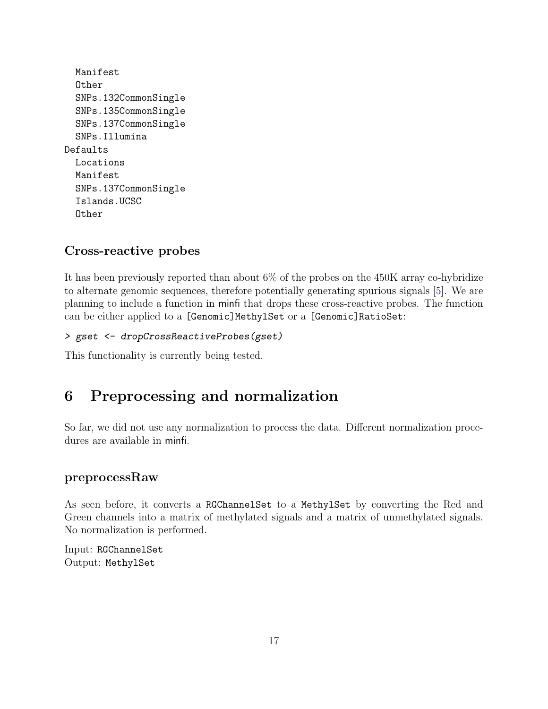```
Manifest
  Other
  SNPs.132CommonSingle
  SNPs.135CommonSingle
  SNPs.137CommonSingle
  SNPs.Illumina
Defaults
  Locations
  Manifest
  SNPs.137CommonSingle
  Islands.UCSC
  Other
```
### Cross-reactive probes

It has been previously reported than about 6% of the probes on the 450K array co-hybridize to alternate genomic sequences, therefore potentially generating spurious signals [\[5\]](#page-24-3). We are planning to include a function in minfi that drops these cross-reactive probes. The function can be either applied to a [Genomic]MethylSet or a [Genomic]RatioSet:

#### > gset <- dropCrossReactiveProbes(gset)

This functionality is currently being tested.

# 6 Preprocessing and normalization

So far, we did not use any normalization to process the data. Different normalization procedures are available in minfi.

### preprocessRaw

As seen before, it converts a RGChannelSet to a MethylSet by converting the Red and Green channels into a matrix of methylated signals and a matrix of unmethylated signals. No normalization is performed.

Input: RGChannelSet Output: MethylSet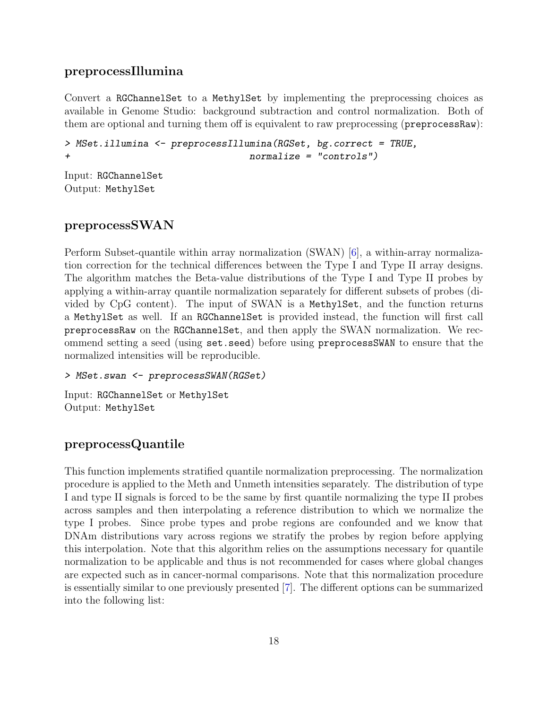### preprocessIllumina

Convert a RGChannelSet to a MethylSet by implementing the preprocessing choices as available in Genome Studio: background subtraction and control normalization. Both of them are optional and turning them off is equivalent to raw preprocessing (preprocessRaw):

```
> MSet.illumina <- preprocessIllumina(RGSet, bg.correct = TRUE,
+ normalize = "controls")
```
Input: RGChannelSet Output: MethylSet

### preprocessSWAN

Perform Subset-quantile within array normalization (SWAN) [\[6\]](#page-24-4), a within-array normalization correction for the technical differences between the Type I and Type II array designs. The algorithm matches the Beta-value distributions of the Type I and Type II probes by applying a within-array quantile normalization separately for different subsets of probes (divided by CpG content). The input of SWAN is a MethylSet, and the function returns a MethylSet as well. If an RGChannelSet is provided instead, the function will first call preprocessRaw on the RGChannelSet, and then apply the SWAN normalization. We recommend setting a seed (using set.seed) before using preprocessSWAN to ensure that the normalized intensities will be reproducible.

```
> MSet.swan <- preprocessSWAN(RGSet)
```
Input: RGChannelSet or MethylSet Output: MethylSet

### preprocessQuantile

This function implements stratified quantile normalization preprocessing. The normalization procedure is applied to the Meth and Unmeth intensities separately. The distribution of type I and type II signals is forced to be the same by first quantile normalizing the type II probes across samples and then interpolating a reference distribution to which we normalize the type I probes. Since probe types and probe regions are confounded and we know that DNAm distributions vary across regions we stratify the probes by region before applying this interpolation. Note that this algorithm relies on the assumptions necessary for quantile normalization to be applicable and thus is not recommended for cases where global changes are expected such as in cancer-normal comparisons. Note that this normalization procedure is essentially similar to one previously presented [\[7\]](#page-24-5). The different options can be summarized into the following list: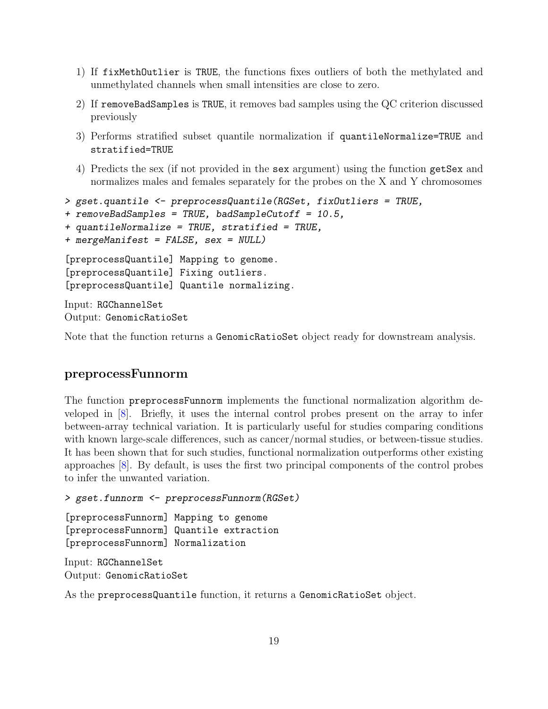- 1) If fixMethOutlier is TRUE, the functions fixes outliers of both the methylated and unmethylated channels when small intensities are close to zero.
- 2) If removeBadSamples is TRUE, it removes bad samples using the QC criterion discussed previously
- 3) Performs stratified subset quantile normalization if quantileNormalize=TRUE and stratified=TRUE
- 4) Predicts the sex (if not provided in the sex argument) using the function getSex and normalizes males and females separately for the probes on the X and Y chromosomes

```
> gset.quantile <- preprocessQuantile(RGSet, fixOutliers = TRUE,
+ removeBadSamples = TRUE, badSampleCutoff = 10.5,
+ quantileNormalize = TRUE, stratified = TRUE,
+ mergeManifest = FALSE, sex = NULL)
[preprocessQuantile] Mapping to genome.
[preprocessQuantile] Fixing outliers.
[preprocessQuantile] Quantile normalizing.
Input: RGChannelSet
Output: GenomicRatioSet
```
Note that the function returns a GenomicRatioSet object ready for downstream analysis.

### preprocessFunnorm

The function preprocessFunnorm implements the functional normalization algorithm developed in [\[8\]](#page-24-6). Briefly, it uses the internal control probes present on the array to infer between-array technical variation. It is particularly useful for studies comparing conditions with known large-scale differences, such as cancer/normal studies, or between-tissue studies. It has been shown that for such studies, functional normalization outperforms other existing approaches [\[8\]](#page-24-6). By default, is uses the first two principal components of the control probes to infer the unwanted variation.

> gset.funnorm <- preprocessFunnorm(RGSet)

```
[preprocessFunnorm] Mapping to genome
[preprocessFunnorm] Quantile extraction
[preprocessFunnorm] Normalization
```
Input: RGChannelSet Output: GenomicRatioSet

As the preprocessQuantile function, it returns a GenomicRatioSet object.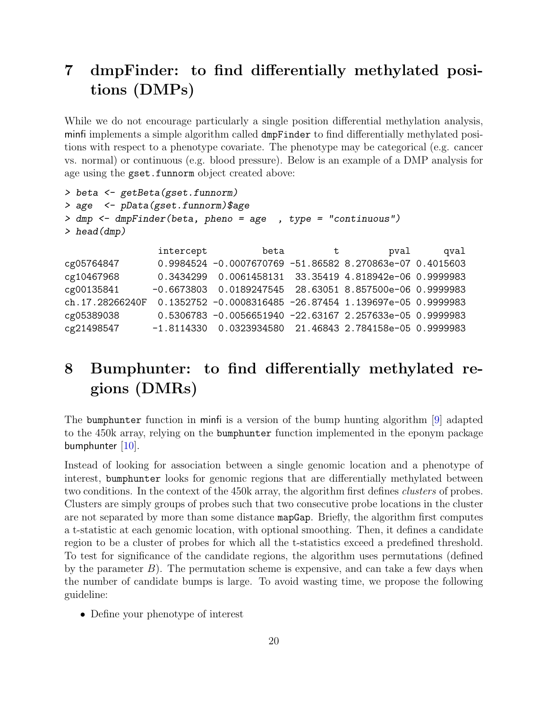# 7 dmpFinder: to find differentially methylated positions (DMPs)

While we do not encourage particularly a single position differential methylation analysis, minfi implements a simple algorithm called dmpFinder to find differentially methylated positions with respect to a phenotype covariate. The phenotype may be categorical (e.g. cancer vs. normal) or continuous (e.g. blood pressure). Below is an example of a DMP analysis for age using the gset.funnorm object created above:

```
> beta <- getBeta(gset.funnorm)
> age <- pData(gset.funnorm)$age
> dmp <- dmpFinder(beta, pheno = age , type = "continuous")
> head(dmp)
               intercept beta t pval qval
cg05764847 0.9984524 -0.0007670769 -51.86582 8.270863e-07 0.4015603
cg10467968 0.3434299 0.0061458131 33.35419 4.818942e-06 0.9999983
cg00135841 -0.6673803 0.0189247545 28.63051 8.857500e-06 0.9999983
ch.17.28266240F 0.1352752 -0.0008316485 -26.87454 1.139697e-05 0.9999983
cg05389038 0.5306783 -0.0056651940 -22.63167 2.257633e-05 0.9999983
cg21498547 -1.8114330 0.0323934580 21.46843 2.784158e-05 0.9999983
```
# 8 Bumphunter: to find differentially methylated regions (DMRs)

The bumphunter function in minfi is a version of the bump hunting algorithm [\[9\]](#page-24-7) adapted to the 450k array, relying on the bumphunter function implemented in the eponym package bumphunter  $|10|$ .

Instead of looking for association between a single genomic location and a phenotype of interest, bumphunter looks for genomic regions that are differentially methylated between two conditions. In the context of the 450k array, the algorithm first defines *clusters* of probes. Clusters are simply groups of probes such that two consecutive probe locations in the cluster are not separated by more than some distance mapGap. Briefly, the algorithm first computes a t-statistic at each genomic location, with optional smoothing. Then, it defines a candidate region to be a cluster of probes for which all the t-statistics exceed a predefined threshold. To test for significance of the candidate regions, the algorithm uses permutations (defined by the parameter  $B$ ). The permutation scheme is expensive, and can take a few days when the number of candidate bumps is large. To avoid wasting time, we propose the following guideline:

• Define your phenotype of interest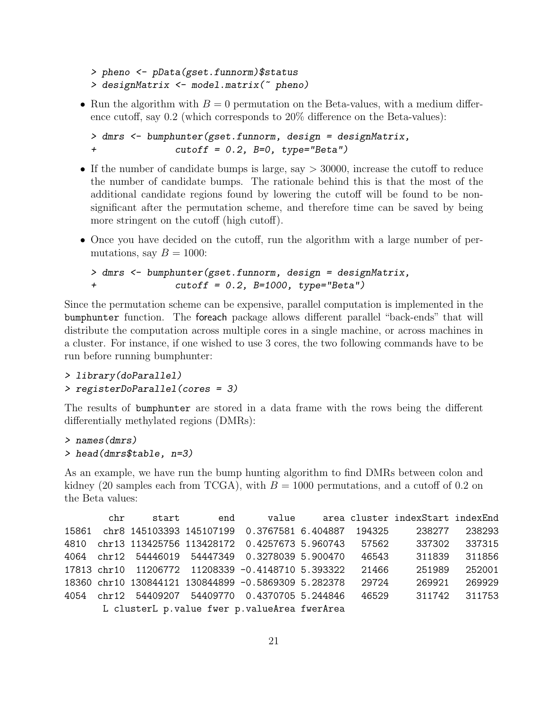```
> pheno <- pData(gset.funnorm)$status
> designMatrix <- model.matrix(~ pheno)
```
• Run the algorithm with  $B = 0$  permutation on the Beta-values, with a medium difference cutoff, say 0.2 (which corresponds to 20% difference on the Beta-values):

```
> dmrs <- bumphunter(gset.funnorm, design = designMatrix,
+ cutoff = 0.2, B=0, type="Beta")
```
- If the number of candidate bumps is large, say  $>$  30000, increase the cutoff to reduce the number of candidate bumps. The rationale behind this is that the most of the additional candidate regions found by lowering the cutoff will be found to be nonsignificant after the permutation scheme, and therefore time can be saved by being more stringent on the cutoff (high cutoff).
- Once you have decided on the cutoff, run the algorithm with a large number of permutations, say  $B = 1000$ :

```
> dmrs <- bumphunter(gset.funnorm, design = designMatrix,
+ cutoff = 0.2, B=1000, type="Beta")
```
Since the permutation scheme can be expensive, parallel computation is implemented in the bumphunter function. The foreach package allows different parallel "back-ends" that will distribute the computation across multiple cores in a single machine, or across machines in a cluster. For instance, if one wished to use 3 cores, the two following commands have to be run before running bumphunter:

```
> library(doParallel)
> registerDoParallel(cores = 3)
```
The results of bumphunter are stored in a data frame with the rows being the different differentially methylated regions (DMRs):

```
> names(dmrs)
> head(dmrs$table, n=3)
```
As an example, we have run the bump hunting algorithm to find DMRs between colon and kidney (20 samples each from TCGA), with  $B = 1000$  permutations, and a cutoff of 0.2 on the Beta values:

```
chr start end value area cluster indexStart indexEnd
15861 chr8 145103393 145107199 0.3767581 6.404887 194325 238277 238293
4810 chr13 113425756 113428172 0.4257673 5.960743 57562 337302 337315
4064 chr12 54446019 54447349 0.3278039 5.900470 46543 311839 311856
17813 chr10 11206772 11208339 -0.4148710 5.393322 21466 251989 252001
18360 chr10 130844121 130844899 -0.5869309 5.282378 29724 269921 269929
4054 chr12 54409207 54409770 0.4370705 5.244846 46529 311742 311753
      L clusterL p.value fwer p.valueArea fwerArea
```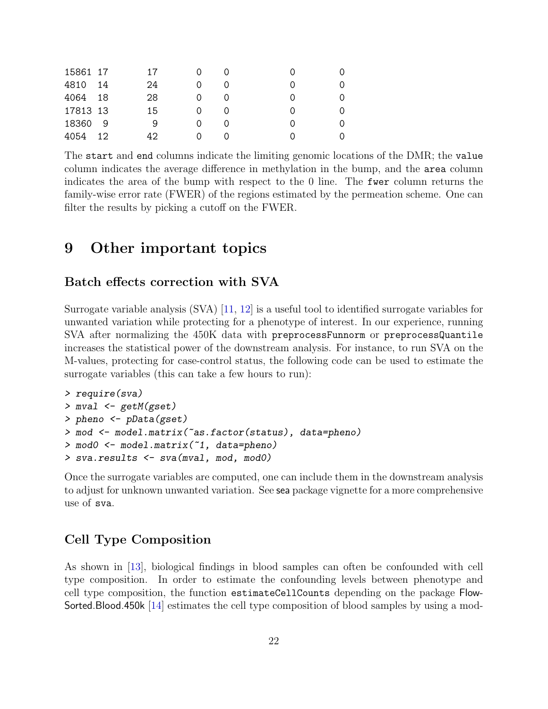| 15861 17 |     | 17 |                  |                  |          |          |
|----------|-----|----|------------------|------------------|----------|----------|
| 4810     | 14  | 24 | $\left( \right)$ |                  |          |          |
| 4064     | 18  | 28 | $\left( \right)$ | $\left( \right)$ |          |          |
| 17813 13 |     | 15 | $\left( \right)$ | $\left( \right)$ | $\Omega$ | $\Omega$ |
| 18360    | - 9 | 9  | $\left( \right)$ | $\left( \right)$ |          |          |
| 4054     | 1 2 | 42 |                  | 0                |          |          |

The start and end columns indicate the limiting genomic locations of the DMR; the value column indicates the average difference in methylation in the bump, and the area column indicates the area of the bump with respect to the 0 line. The fwer column returns the family-wise error rate (FWER) of the regions estimated by the permeation scheme. One can filter the results by picking a cutoff on the FWER.

### 9 Other important topics

### Batch effects correction with SVA

Surrogate variable analysis (SVA) [\[11,](#page-25-0) [12\]](#page-25-1) is a useful tool to identified surrogate variables for unwanted variation while protecting for a phenotype of interest. In our experience, running SVA after normalizing the 450K data with preprocessFunnorm or preprocessQuantile increases the statistical power of the downstream analysis. For instance, to run SVA on the M-values, protecting for case-control status, the following code can be used to estimate the surrogate variables (this can take a few hours to run):

```
> require(sva)
> mval <- getM(gset)
> pheno <- pData(gset)
> mod <- model.matrix(~as.factor(status), data=pheno)
> mod0 <- model.matrix(~1, data=pheno)
> sva.results <- sva(mval, mod, mod0)
```
Once the surrogate variables are computed, one can include them in the downstream analysis to adjust for unknown unwanted variation. See sea package vignette for a more comprehensive use of sva.

### Cell Type Composition

As shown in [\[13\]](#page-25-2), biological findings in blood samples can often be confounded with cell type composition. In order to estimate the confounding levels between phenotype and cell type composition, the function estimateCellCounts depending on the package Flow-Sorted.Blood.450k [\[14\]](#page-25-3) estimates the cell type composition of blood samples by using a mod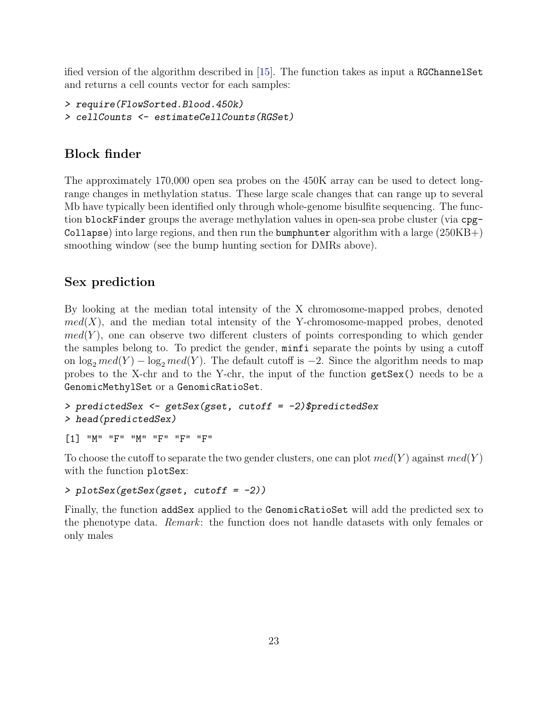ified version of the algorithm described in  $[15]$ . The function takes as input a RGChannelSet and returns a cell counts vector for each samples:

```
> require(FlowSorted.Blood.450k)
```
> cellCounts <- estimateCellCounts(RGSet)

### Block finder

The approximately 170,000 open sea probes on the 450K array can be used to detect longrange changes in methylation status. These large scale changes that can range up to several Mb have typically been identified only through whole-genome bisulfite sequencing. The function blockFinder groups the average methylation values in open-sea probe cluster (via cpg-Collapse) into large regions, and then run the bumphunter algorithm with a large  $(250KB+)$ smoothing window (see the bump hunting section for DMRs above).

### Sex prediction

By looking at the median total intensity of the X chromosome-mapped probes, denoted  $med(X)$ , and the median total intensity of the Y-chromosome-mapped probes, denoted  $med(Y)$ , one can observe two different clusters of points corresponding to which gender the samples belong to. To predict the gender, minfi separate the points by using a cutoff on  $\log_2 med(Y) - \log_2 med(Y)$ . The default cutoff is  $-2$ . Since the algorithm needs to map probes to the X-chr and to the Y-chr, the input of the function getSex() needs to be a GenomicMethylSet or a GenomicRatioSet.

```
> predictedSex <- getSex(gset, cutoff = -2)$predictedSex
> head(predictedSex)
```

```
[1] "M" "F" "M" "F" "F" "F"
```
To choose the cutoff to separate the two gender clusters, one can plot  $med(Y)$  against  $med(Y)$ with the function plotSex:

#### > plotSex(getSex(gset, cutoff = -2))

Finally, the function addSex applied to the GenomicRatioSet will add the predicted sex to the phenotype data. Remark: the function does not handle datasets with only females or only males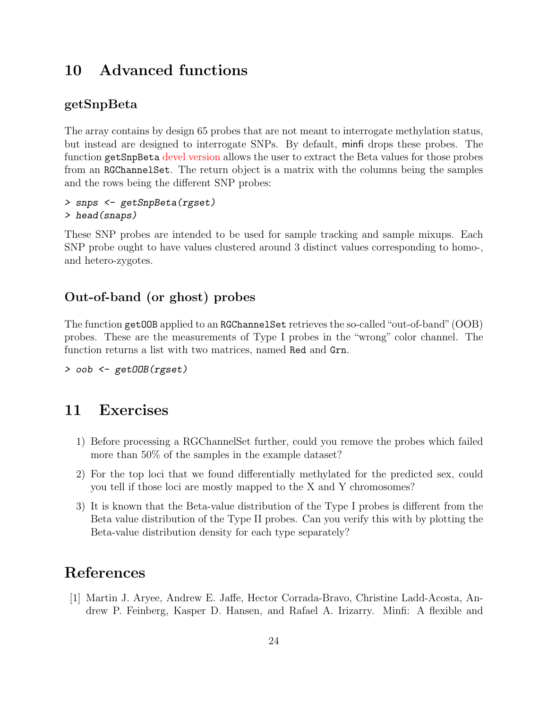# 10 Advanced functions

### getSnpBeta

The array contains by design 65 probes that are not meant to interrogate methylation status, but instead are designed to interrogate SNPs. By default, minfi drops these probes. The function getSnpBeta devel version allows the user to extract the Beta values for those probes from an RGChannelSet. The return object is a matrix with the columns being the samples and the rows being the different SNP probes:

```
> snps <- getSnpBeta(rgset)
> head(snaps)
```
These SNP probes are intended to be used for sample tracking and sample mixups. Each SNP probe ought to have values clustered around 3 distinct values corresponding to homo-, and hetero-zygotes.

### Out-of-band (or ghost) probes

The function getOOB applied to an RGChannelSet retrieves the so-called "out-of-band" (OOB) probes. These are the measurements of Type I probes in the "wrong" color channel. The function returns a list with two matrices, named Red and Grn.

```
> oob <- getOOB(rgset)
```
### 11 Exercises

- 1) Before processing a RGChannelSet further, could you remove the probes which failed more than 50% of the samples in the example dataset?
- 2) For the top loci that we found differentially methylated for the predicted sex, could you tell if those loci are mostly mapped to the X and Y chromosomes?
- 3) It is known that the Beta-value distribution of the Type I probes is different from the Beta value distribution of the Type II probes. Can you verify this with by plotting the Beta-value distribution density for each type separately?

## References

<span id="page-23-0"></span>[1] Martin J. Aryee, Andrew E. Jaffe, Hector Corrada-Bravo, Christine Ladd-Acosta, Andrew P. Feinberg, Kasper D. Hansen, and Rafael A. Irizarry. Minfi: A flexible and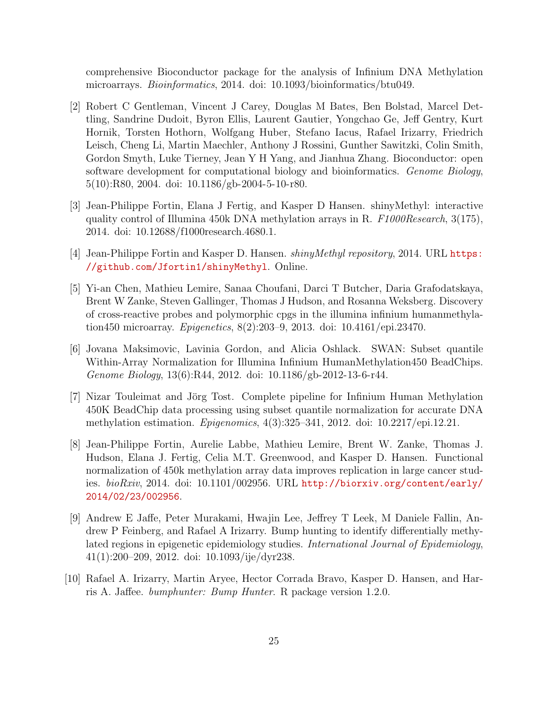comprehensive Bioconductor package for the analysis of Infinium DNA Methylation microarrays. *Bioinformatics*, 2014. doi: 10.1093/bioinformatics/btu049.

- <span id="page-24-0"></span>[2] Robert C Gentleman, Vincent J Carey, Douglas M Bates, Ben Bolstad, Marcel Dettling, Sandrine Dudoit, Byron Ellis, Laurent Gautier, Yongchao Ge, Jeff Gentry, Kurt Hornik, Torsten Hothorn, Wolfgang Huber, Stefano Iacus, Rafael Irizarry, Friedrich Leisch, Cheng Li, Martin Maechler, Anthony J Rossini, Gunther Sawitzki, Colin Smith, Gordon Smyth, Luke Tierney, Jean Y H Yang, and Jianhua Zhang. Bioconductor: open software development for computational biology and bioinformatics. Genome Biology, 5(10):R80, 2004. doi: 10.1186/gb-2004-5-10-r80.
- <span id="page-24-1"></span>[3] Jean-Philippe Fortin, Elana J Fertig, and Kasper D Hansen. shinyMethyl: interactive quality control of Illumina 450k DNA methylation arrays in R. F1000Research, 3(175), 2014. doi: 10.12688/f1000research.4680.1.
- <span id="page-24-2"></span>[4] Jean-Philippe Fortin and Kasper D. Hansen. *shinyMethyl repository*, 2014. URL [https:](https://github.com/Jfortin1/shinyMethyl) [//github.com/Jfortin1/shinyMethyl](https://github.com/Jfortin1/shinyMethyl). Online.
- <span id="page-24-3"></span>[5] Yi-an Chen, Mathieu Lemire, Sanaa Choufani, Darci T Butcher, Daria Grafodatskaya, Brent W Zanke, Steven Gallinger, Thomas J Hudson, and Rosanna Weksberg. Discovery of cross-reactive probes and polymorphic cpgs in the illumina infinium humanmethylation450 microarray. Epigenetics, 8(2):203–9, 2013. doi: 10.4161/epi.23470.
- <span id="page-24-4"></span>[6] Jovana Maksimovic, Lavinia Gordon, and Alicia Oshlack. SWAN: Subset quantile Within-Array Normalization for Illumina Infinium HumanMethylation450 BeadChips. Genome Biology, 13(6):R44, 2012. doi: 10.1186/gb-2012-13-6-r44.
- <span id="page-24-5"></span>[7] Nizar Touleimat and Jörg Tost. Complete pipeline for Infinium Human Methylation 450K BeadChip data processing using subset quantile normalization for accurate DNA methylation estimation. Epigenomics, 4(3):325–341, 2012. doi: 10.2217/epi.12.21.
- <span id="page-24-6"></span>[8] Jean-Philippe Fortin, Aurelie Labbe, Mathieu Lemire, Brent W. Zanke, Thomas J. Hudson, Elana J. Fertig, Celia M.T. Greenwood, and Kasper D. Hansen. Functional normalization of 450k methylation array data improves replication in large cancer studies. bioRxiv, 2014. doi: 10.1101/002956. URL [http://biorxiv.org/content/early/](http://biorxiv.org/content/early/2014/02/23/002956) [2014/02/23/002956](http://biorxiv.org/content/early/2014/02/23/002956).
- <span id="page-24-7"></span>[9] Andrew E Jaffe, Peter Murakami, Hwajin Lee, Jeffrey T Leek, M Daniele Fallin, Andrew P Feinberg, and Rafael A Irizarry. Bump hunting to identify differentially methylated regions in epigenetic epidemiology studies. *International Journal of Epidemiology*, 41(1):200–209, 2012. doi: 10.1093/ije/dyr238.
- <span id="page-24-8"></span>[10] Rafael A. Irizarry, Martin Aryee, Hector Corrada Bravo, Kasper D. Hansen, and Harris A. Jaffee. bumphunter: Bump Hunter. R package version 1.2.0.